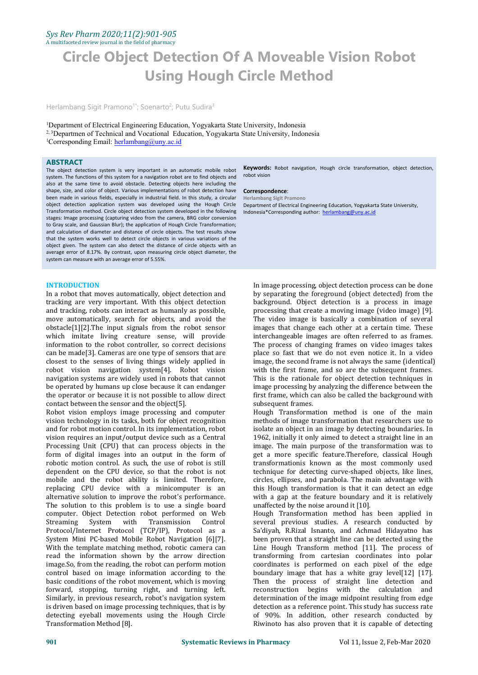## *Sys Rev Pharm 2020;11(2):901-905*

A multifaceted review journal in the field of pharmacy

# **Circle Object Detection Of A Moveable Vision Robot Using Hough Circle Method**

Herlambang Sigit Pramono<sup>1\*</sup>; Soenarto<sup>2</sup>; Putu Sudira<sup>3</sup> 3

<sup>1</sup>Department of Electrical Engineering Education, Yogyakarta State University, Indonesia <sup>2, 3</sup>Departmen of Technical and Vocational Education, Yogyakarta State University, Indonesia <sup>1</sup>Corresponding Email: [herlambang@uny.ac.id](mailto:herlambang@uny.ac.id)

#### **ABSTRACT**

The object detection system is very important in an automatic mobile robot system. The functions of this system for a navigation robot are to find objects and also at the same time to avoid obstacle. Detecting objects here including the shape, size, and color of object. Various implementations of robot detection have been made in various fields, especially in industrial field. In this study, a circular object detection application system was developed using the Hough Circle Transformation method. Circle object detection system developed in the following Indonesia\*Corresponding author: herlambang@uny.ac.id stages: Image processing (capturing video from the camera, BRG color conversion to Gray scale, and Gaussian Blur); the application of Hough Circle Transformation; and calculation of diameter and distance of circle objects. The test results show that the system works well to detect circle objects in various variations of the object given. The system can also detect the distance of circle objects with an average error of 8.17%. By contrast, upon measuring circle object diameter, the system can measure with an average error of 5.55%.

#### **INTRODUCTION**

In a robot that moves automatically, object detection and tracking are very important. With this object detection and tracking, robots can interact as humanly as possible, move automatically, search for objects, and avoid the obstacle[1][2].The input signals from the robot sensor which imitate living creature sense, will provide information to the robot controller, so correct decisions can be made[3]. Cameras are one type of sensors that are closest to the senses of living things widely applied in robot vision navigation system[4]. Robot vision navigation systems are widely used in robots that cannot be operated by humans up close because it can endanger the operator or because it is not possible to allow direct contact between the sensor and the object[5].

Robot vision employs image processing and computer vision technology in its tasks, both for object recognition and for robot motion control. In its implementation, robot vision requires an input/output device such as a Central Processing Unit (CPU) that can process objects in the form of digital images into an output in the form of robotic motion control. As such, the use of robot is still dependent on the CPU device, so that the robot is not mobile and the robot ability is limited. Therefore, replacing CPU device with a minicomputer is an alternative solution to improve the robot's performance. The solution to this problem is to use a single board computer. Object Detection robot performed on Web<br>Streaming System with Transmission Control System with Protocol/Internet Protocol (TCP/IP), Protocol as a System Mini PC-based Mobile Robot Navigation [6][7]. With the template matching method, robotic camera can read the information shown by the arrow direction image.So, from the reading, the robot can perform motion control based on image information according to the basic conditions of the robot movement, which is moving forward, stopping, turning right, and turning left. Similarly, in previous research, robot's navigation system is driven based on image processing techniques, that is by detecting eyeball movements using the Hough Circle Transformation Method [8].

**Keywords:** Robot navigation, Hough circle transformation, object detection, robot vision

#### **Correspondence**:

**Herlambang Sigit Pramono**

Department of Electrical Engineering Education, Yogyakarta State University,

In image processing, object detection process can be done by separating the foreground (object detected) from the background. Object detection is a process in image processing that create a moving image (video image) [9]. The video image is basically a combination of several images that change each other at a certain time. These interchangeable images are often referred to as frames. The process of changing frames on video images takes place so fast that we do not even notice it. In a video image, the second frame is not always the same (identical) with the first frame, and so are the subsequent frames. This is the rationale for object detection techniques in image processing by analyzing the difference between the first frame, which can also be called the background with subsequent frames.

Hough Transformation method is one of the main methods of image transformation that researchers use to isolate an object in an image by detecting boundaries. In 1962, initially it only aimed to detect a straight line in an image. The main purpose of the transformation was to get a more specific feature.Therefore, classical Hough transformationis known as the most commonly used technique for detecting curve-shaped objects, like lines, circles, ellipses, and parabola. The main advantage with this Hough transformation is that it can detect an edge with a gap at the feature boundary and it is relatively unaffected by the noise around it [10].

Hough Transformation method has been applied in several previous studies. A research conducted by Sa'diyah, R.Rizal Isnanto, and Achmad Hidayatno has been proven that a straight line can be detected using the Line Hough Transform method [11]. The process of transforming from cartesian coordinates into polar coordinates is performed on each pixel of the edge boundary image that has a white gray level[12] [17]. Then the process of straight line detection and reconstruction begins with the calculation and determination of the image midpoint resulting from edge detection as a reference point. This study has success rate of 90%. In addition, other research conducted by Riwinoto has also proven that it is capable of detecting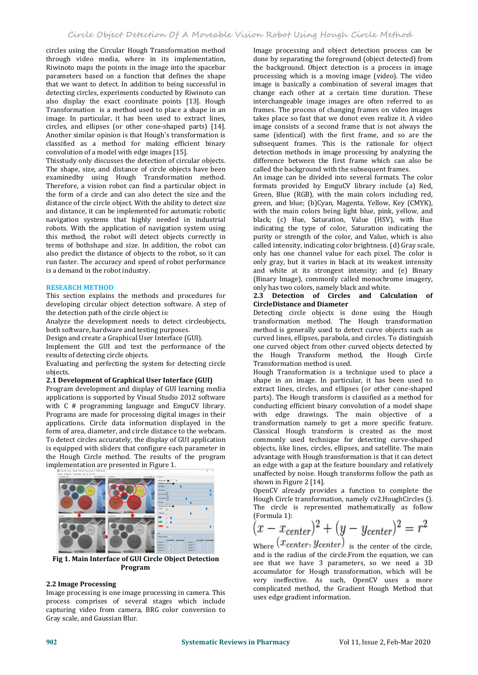circles using the Circular Hough Transformation method through video media, where in its implementation, Riwinoto maps the points in the image into the spacebar parameters based on a function that defines the shape that we want to detect. In addition to being successful in detecting circles, experiments conducted by Riwinoto can also display the exact coordinate points [13]. Hough Transformation is a method used to place a shape in an circles, and ellipses (or other cone-shaped parts) [14]. Another similar opinion is that Hough's transformation is classified as a method for making efficient binary convolution of a model with edge images [15].

Thisstudy only discusses the detection of circular objects. The shape, size, and distance of circle objects have been examinedby using Hough Transformation method. Therefore, a vision robot can find a particular object in the form of a circle and can also detect the size and the distance of the circle object. With the ability to detect size and distance, it can be implemented for automatic robotic navigation systems that highly needed in industrial robots. With the application of navigation system using this method, the robot will detect objects correctly in terms of bothshape and size. In addition, the robot can also predict the distance of objects to the robot, so it can run faster. The accuracy and speed of robot performance is a demand in the robot industry.

#### **RESEARCH METHOD**

This section explains the methods and procedures for developing circular object detection software. A step of the detection path of the circle object is:

Analyze the development needs to detect circleobjects, both software, hardware and testing purposes.

Design and create a Graphical User Interface (GUI).

Implement the GUI and test the performance of the results of detecting circle objects.

Evaluating and perfecting the system for detecting circle

#### objects. **2.1 Development of Graphical User Interface (GUI)**

Program development and display of GUI learning media applications is supported by Visual Studio 2012 software with C # programming language and EmguCV library. Programs are made for processing digital images in their applications. Circle data information displayed in the form of area, diameter, and circle distance to the webcam. To detect circles accurately, the display of GUI application is equipped with sliders that configure each parameter in the Hough Circle method. The results of the program implementation are presented in Figure 1.



**Fig 1. Main Interface of GUI Circle ObjectDetection Program**

#### **2.2 Image Processing**

Image processing is one image processing in camera. This process comprises of several stages which include capturing video from camera, BRG color conversion to Gray scale, and Gaussian Blur.

Image processing and object detection process can be done by separating the foreground (object detected) from the background. Object detection is a process in image processing which is a moving image (video). The video image is basically a combination of several images that change each other at a certain time duration. These interchangeable image images are often referred to as frames. The process of changing frames on video images takes place so fast that we donot even realize it. A video image consists of a second frame that is not always the same (identical) with the first frame, and so are the subsequent frames. This is the rationale for object detection methods in image processing by analyzing the difference between the first frame which can also be called the background with the subsequent frames.

An image can be divided into several formats. The color formats provided by EmguCV library include (a) Red, Green, Blue (RGB), with the main colors including red, green, and blue; (b)Cyan, Magenta, Yellow, Key (CMYK), with the main colors being light blue, pink, yellow, and black; (c) Hue, Saturation, Value (HSV), with Hue indicating the type of color, Saturation indicating the purity or strength of the color, and Value, which is also called intensity, indicating color brightness. (d) Gray scale, only has one channel value for each pixel. The color is only gray, but it varies in black at its weakest intensity and white at its strongest intensity; and (e) Binary (Binary Image), commonly called monochrome imagery, only has two colors, namely black and white.

#### only has two colors, namely black and white. **2.3 Detection of Circles and Calculation of CircleDistance and Diameter**

Detecting circle objects is done using the Hough transformation method. The Hough transformation method is generally used to detect curve objects such as curved lines, ellipses, parabola, and circles. To distinguish one curved object from other curved objects detected by the Hough Transform method, the Hough Circle Transformation method is used.

Hough Transformation is a technique used to place a shape in an image. In particular, it has been used to extract lines, circles, and ellipses (or other cone-shaped parts). The Hough transform is classified as a method for conducting efficient binary convolution of a model shape with edge drawings. The main objective of a transformation namely to get a more specific feature. Classical Hough transform is created as the most commonly used technique for detecting curve-shaped objects, like lines, circles, ellipses, and satellite. The main advantage with Hough transformation is that it can detect an edge with a gap at the feature boundary and relatively unaffected by noise. Hough transforms follow the path as shown in Figure 2 [14].

OpenCV already provides a function to complete the Hough Circle transformation, namely cv2.HoughCircles (). The circle is represented mathematically as follow (Formula 1):

$$
(x - x_{center})^2 + (y - y_{center})^2 = r^2
$$

Where  $\langle x \rangle$  center,  $\langle y \rangle$  is the center of the circle, and is the radius of the circle.From the equation, we can see that we have 3 parameters, so we need a 3D accumulator for Hough transformation, which will be very ineffective. As such, OpenCV uses a more complicated method, the Gradient Hough Method that uses edge gradient information.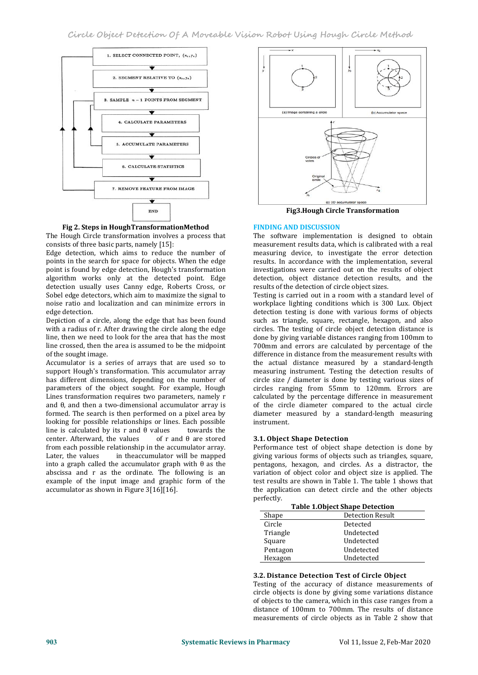



The Hough Circle transformation involves a process that consists of three basic parts, namely [15]:

Edge detection, which aims to reduce the number of points in the search for space for objects. When the edge point is found by edge detection, Hough's transformation algorithm works only at the detected point. Edge detection usually uses Canny edge, Roberts Cross, or Sobel edge detectors, which aim to maximize the signal to noise ratio and localization and can minimize errors in edge detection.

Depiction of a circle, along the edge that has been found such as triangle, square, rectangle, hexagon, and also<br>with a radius of r. After drawing the circle along the edge circles. The testing of circle object detection d with a radius of r. After drawing the circle along the edge line, then we need to look for the area that has the most line crossed, then the area is assumed to be the midpoint of the sought image.

Accumulator is a series of arrays that are used so to support Hough's transformation. This accumulator array has different dimensions, depending on the number of parameters of the object sought. For example, Hough Lines transformation requires two parameters, namely r and θ, and then a two-dimensional accumulator array is formed. The search is then performed on a pixel area by looking for possible relationships or lines. Each possible<br>line is calculated by its r and  $\theta$  values towards the line is calculated by its r and  $\theta$  values towards the center. Afterward, the values of r and  $\theta$  are stored center. Afterward, the values from each possible relationship in the accumulator array. in the accumulator will be mapped into agraph called the accumulator graph with θ as the abscissa and r as the ordinate. The following is an example of the input image and graphic form of the accumulator as shown in Figure 3[16][16].



**Fig3.Hough Circle Transformation**

### **FINDING AND DISCUSSION**

The software implementation is designed to obtain measurement results data, which is calibrated with a real measuring device, to investigate the error detection results. In accordance with the implementation, several investigations were carried out on the results of object detection, object distance detection results, and the results of the detection of circle object sizes.

Testing is carried out in a room with a standard level of workplace lighting conditions which is 300 Lux. Object detection testing is done with various forms of objects such as triangle, square, rectangle, hexagon, and also done by giving variable distances ranging from 100mm to 700mm and errors are calculated by percentage of the difference in distance from the measurement results with the actual distance measured by a standard-length measuring instrument. Testing the detection results of circle size / diameter is done by testing various sizes of circles ranging from 55mm to 120mm. Errors are calculated by the percentage difference in measurement of the circle diameter compared to the actual circle diameter measured by a standard-length measuring instrument.

### **3.1. Object Shape Detection**

Performance test of object shape detection is done by giving various forms of objects such as triangles, square, pentagons, hexagon, and circles. As a distractor, the variation of object color and object size is applied. The test results are shown in Table 1. The table 1 shows that the application can detect circle and the other objects

| <b>Table 1.0bject Shape Detection</b><br><b>Detection Result</b><br>Shape<br>Circle<br>Detected<br>Triangle<br>Undetected<br>Undetected<br>Square<br>Pentagon<br>Undetected<br>Undetected<br>Hexagon | perfectly. |  |  |  |  |  |  |
|------------------------------------------------------------------------------------------------------------------------------------------------------------------------------------------------------|------------|--|--|--|--|--|--|
|                                                                                                                                                                                                      |            |  |  |  |  |  |  |
|                                                                                                                                                                                                      |            |  |  |  |  |  |  |
|                                                                                                                                                                                                      |            |  |  |  |  |  |  |
|                                                                                                                                                                                                      |            |  |  |  |  |  |  |
|                                                                                                                                                                                                      |            |  |  |  |  |  |  |
|                                                                                                                                                                                                      |            |  |  |  |  |  |  |
|                                                                                                                                                                                                      |            |  |  |  |  |  |  |

#### **3.2. Distance Detection Test of Circle Object**

Testing of the accuracy of distance measurements of circle objects is done by giving some variations distance of objects to the camera, which in this case ranges from a distance of 100mm to 700mm. The results of distance measurements of circle objects as in Table 2 show that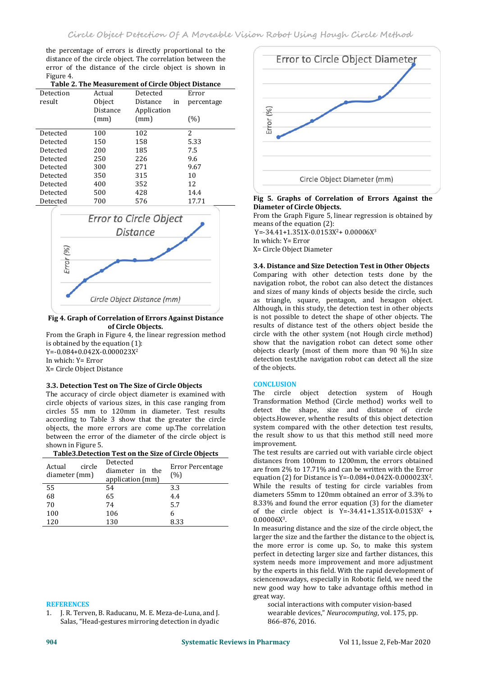the percentage of errors is directly proportional to the<br>distance of the circle object. The correlation between the<br> **Error to Circle Object Diameter** distance of the circle object. The correlation between the error of the distance of the circle object is shown in Figure 4.

| Figure 4. |          |                                                    |            |                            |
|-----------|----------|----------------------------------------------------|------------|----------------------------|
|           |          | Table 2. The Measurement of Circle Object Distance |            |                            |
| Detection | Actual   | Detected                                           | Error      |                            |
| result    | Object   | Distance<br>in                                     | percentage |                            |
|           | Distance | Application                                        |            |                            |
|           | (mm)     | (mm)                                               | (%)        | Error (%)                  |
|           |          | 102                                                | 2          |                            |
| Detected  | 100      |                                                    |            |                            |
| Detected  | 150      | 158                                                | 5.33       |                            |
| Detected  | 200      | 185                                                | 7.5        |                            |
| Detected  | 250      | 226                                                | 9.6        |                            |
| Detected  | 300      | 271                                                | 9.67       |                            |
| Detected  | 350      | 315                                                | 10         |                            |
| Detected  | 400      | 352                                                | 12         |                            |
| Detected  | 500      | 428                                                | 14.4       |                            |
| Detected  | 700      | 576                                                | 17.71      | Fig 5. Grap<br>Djamahan af |
|           |          |                                                    |            |                            |



**Fig 4. Graph of Correlation of Errors Against Distance of Circle Objects.**

From the Graph in Figure 4, the linear regression method is obtained by the equation (1): 2

 $Y=-0.084+0.042X-0.000023X^2$ In which: Y= Error

X= Circle Object Distance

#### **3.3. Detection Test on The Size of Circle Objects**

The accuracy of circle object diameter is examined with circle objects of various sizes, in this case ranging from circles 55 mm to 120mm in diameter. Test results according to Table 3 show that the greater the circle objects, the more errors are come up.The correlation between the error of the diameter of the circle object is

| Table 3. Detection Test on the Size of Circle Objects |                                                 |                         |  |  |  |  |  |
|-------------------------------------------------------|-------------------------------------------------|-------------------------|--|--|--|--|--|
| circle<br>Actual<br>diameter (mm)                     | Detected<br>diameter in the<br>application (mm) | Error Percentage<br>(%) |  |  |  |  |  |
| 55                                                    | 54                                              | 3.3                     |  |  |  |  |  |
| 68                                                    | 65                                              | 4.4                     |  |  |  |  |  |
| 70                                                    | 74                                              | 5.7                     |  |  |  |  |  |
| 100                                                   | 106                                             | 6                       |  |  |  |  |  |
| 120                                                   | 130                                             | 8.33                    |  |  |  |  |  |

1. J. R. Terven, B. Raducanu, M. E. Meza-de-Luna, and J. Salas, "Head-gestures mirroring detection in dyadic



#### **Fig 5. Graphs of Correlation of Errors Against the Diameter of Circle Objects.**

From the Graph Figure 5, linear regression is obtained by means of the equation (2):  $\mathbf{3}$ 

 $Y = -34.41 + 1.351X - 0.0153X^2 + 0.00006X^3$ In which: Y= Error X= Circle Object Diameter

**3.4. Distance and Size Detection Test in Other Objects** Comparing with other detection tests done by the navigation robot, the robot can also detect the distances and sizes of many kinds of objects beside the circle, such as triangle, square, pentagon, and hexagon object. Although, in this study, the detection test in other objects is not possible to detect the shape of other objects. The results of distance test of the others object beside the circle with the other system (not Hough circle method) show that the navigation robot can detect some other objects clearly (most of them more than 90 %).In size detection test,the navigation robot can detect all the size of the objects.

#### **CONCLUSION**

The circle object detection system of Hough Transformation Method (Circle method) works well to detect the shape, size and distance of circle objects.However, whenthe results of this object detection system compared with the other detection test results, the result show to us that this method still need more improvement.

Error Percentage are from 2% to 17.71% and can be written with the Error The test results are carried out with variable circle object distances from 100mm to 1200mm, the errors obtained equation (2) for Distance is Y=-0.084+0.042X-0.000023X 2 . While the results of testing for circle variables from diameters 55mm to 120mm obtained an error of 3.3% to 8.33% and found the error equation (3) for the diameter of the circle object is  $Y = -34.41 + 1.351X - 0.0153X^2 +$  $0.0006X<sup>3</sup>$ 3 .

In measuring distance and the size of the circle object, the larger the size and the farther the distance to the object is, the more error is come up. So, to make this system perfect in detecting larger size and farther distances, this system needs more improvement and more adjustment by the experts in this field. With the rapid development of sciencenowadays, especially in Robotic field, we need the new good way how to take advantage ofthis method in

great way. **REFERENCES** social interactions with computer vision-based wearable devices," *Neurocomputing*, vol. 175, pp. 866–876, 2016.